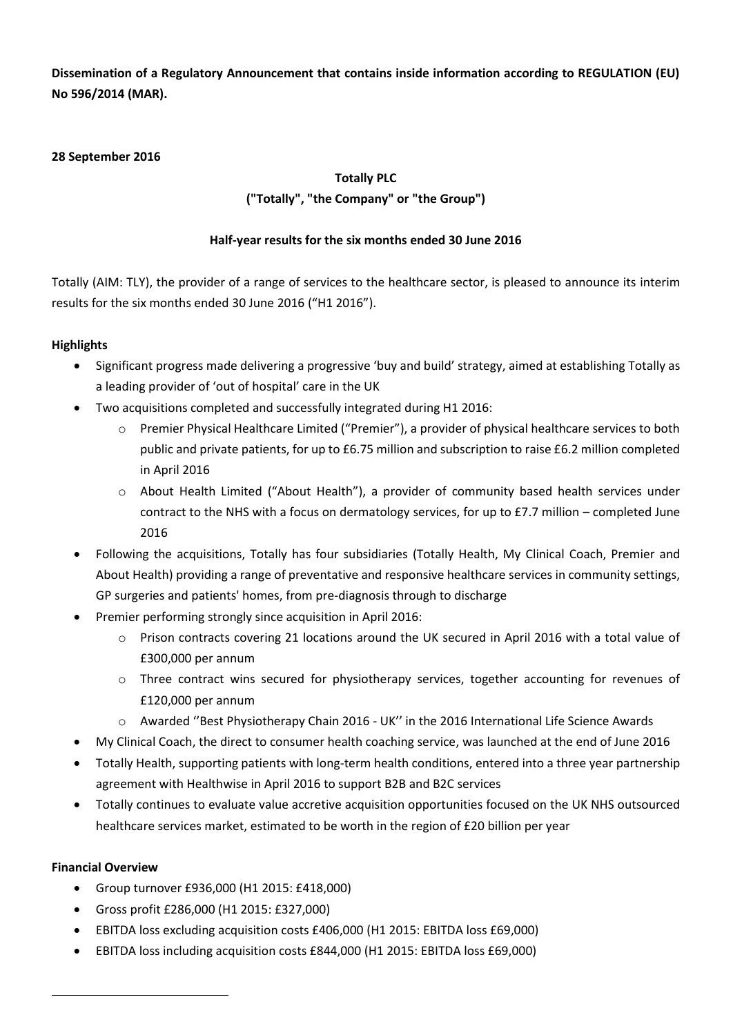**Dissemination of a Regulatory Announcement that contains inside information according to REGULATION (EU) No 596/2014 (MAR).**

# **28 September 2016**

# **Totally PLC**

# **("Totally", "the Company" or "the Group")**

# **Half-year results for the six months ended 30 June 2016**

Totally (AIM: TLY), the provider of a range of services to the healthcare sector, is pleased to announce its interim results for the six months ended 30 June 2016 ("H1 2016").

# **Highlights**

- Significant progress made delivering a progressive 'buy and build' strategy, aimed at establishing Totally as a leading provider of 'out of hospital' care in the UK
- Two acquisitions completed and successfully integrated during H1 2016:
	- o Premier Physical Healthcare Limited ("Premier"), a provider of physical healthcare services to both public and private patients, for up to £6.75 million and subscription to raise £6.2 million completed in April 2016
	- o About Health Limited ("About Health"), a provider of community based health services under contract to the NHS with a focus on dermatology services, for up to £7.7 million – completed June 2016
- Following the acquisitions, Totally has four subsidiaries (Totally Health, My Clinical Coach, Premier and About Health) providing a range of preventative and responsive healthcare services in community settings, GP surgeries and patients' homes, from pre-diagnosis through to discharge
- Premier performing strongly since acquisition in April 2016:
	- o Prison contracts covering 21 locations around the UK secured in April 2016 with a total value of £300,000 per annum
	- $\circ$  Three contract wins secured for physiotherapy services, together accounting for revenues of £120,000 per annum
	- o Awarded ''Best Physiotherapy Chain 2016 UK'' in the 2016 International Life Science Awards
- My Clinical Coach, the direct to consumer health coaching service, was launched at the end of June 2016
- Totally Health, supporting patients with long-term health conditions, entered into a three year partnership agreement with Healthwise in April 2016 to support B2B and B2C services
- Totally continues to evaluate value accretive acquisition opportunities focused on the UK NHS outsourced healthcare services market, estimated to be worth in the region of £20 billion per year

# **Financial Overview**

- Group turnover £936,000 (H1 2015: £418,000)
- Gross profit £286,000 (H1 2015: £327,000)
- EBITDA loss excluding acquisition costs £406,000 (H1 2015: EBITDA loss £69,000)
- EBITDA loss including acquisition costs £844,000 (H1 2015: EBITDA loss £69,000)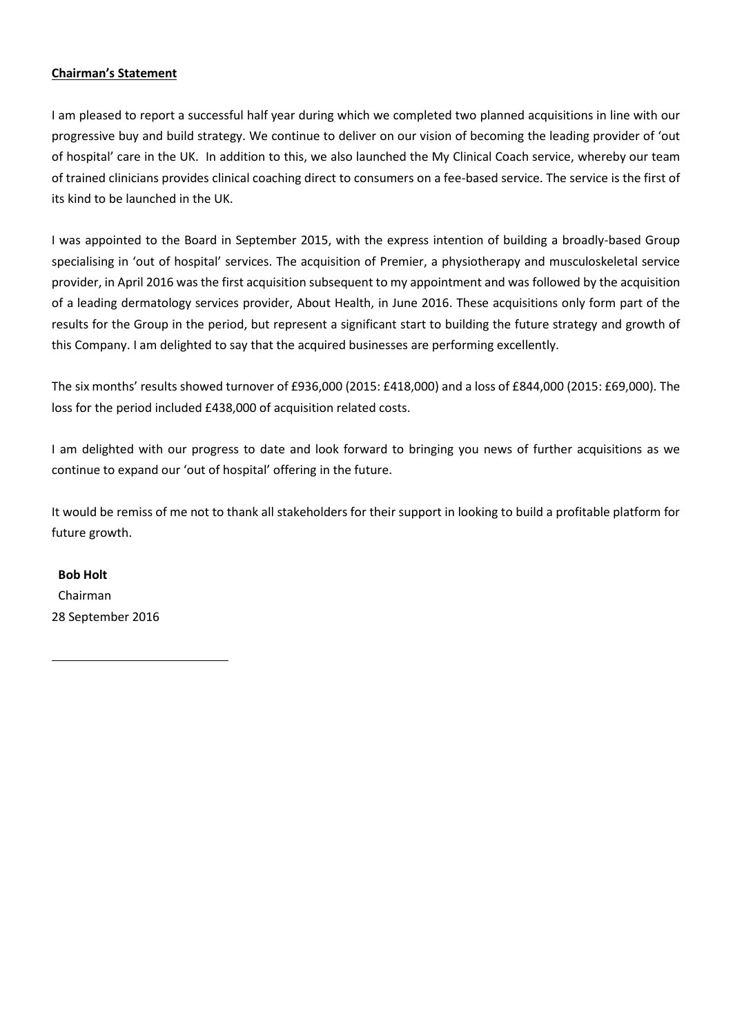# **Chairman's Statement**

I am pleased to report a successful half year during which we completed two planned acquisitions in line with our progressive buy and build strategy. We continue to deliver on our vision of becoming the leading provider of 'out of hospital' care in the UK. In addition to this, we also launched the My Clinical Coach service, whereby our team of trained clinicians provides clinical coaching direct to consumers on a fee-based service. The service is the first of its kind to be launched in the UK.

I was appointed to the Board in September 2015, with the express intention of building a broadly-based Group specialising in 'out of hospital' services. The acquisition of Premier, a physiotherapy and musculoskeletal service provider, in April 2016 was the first acquisition subsequent to my appointment and was followed by the acquisition of a leading dermatology services provider, About Health, in June 2016. These acquisitions only form part of the results for the Group in the period, but represent a significant start to building the future strategy and growth of this Company. I am delighted to say that the acquired businesses are performing excellently.

The six months' results showed turnover of £936,000 (2015: £418,000) and a loss of £844,000 (2015: £69,000). The loss for the period included £438,000 of acquisition related costs.

I am delighted with our progress to date and look forward to bringing you news of further acquisitions as we continue to expand our 'out of hospital' offering in the future.

It would be remiss of me not to thank all stakeholders for their support in looking to build a profitable platform for future growth.

**Bob Holt** Chairman 28 September 2016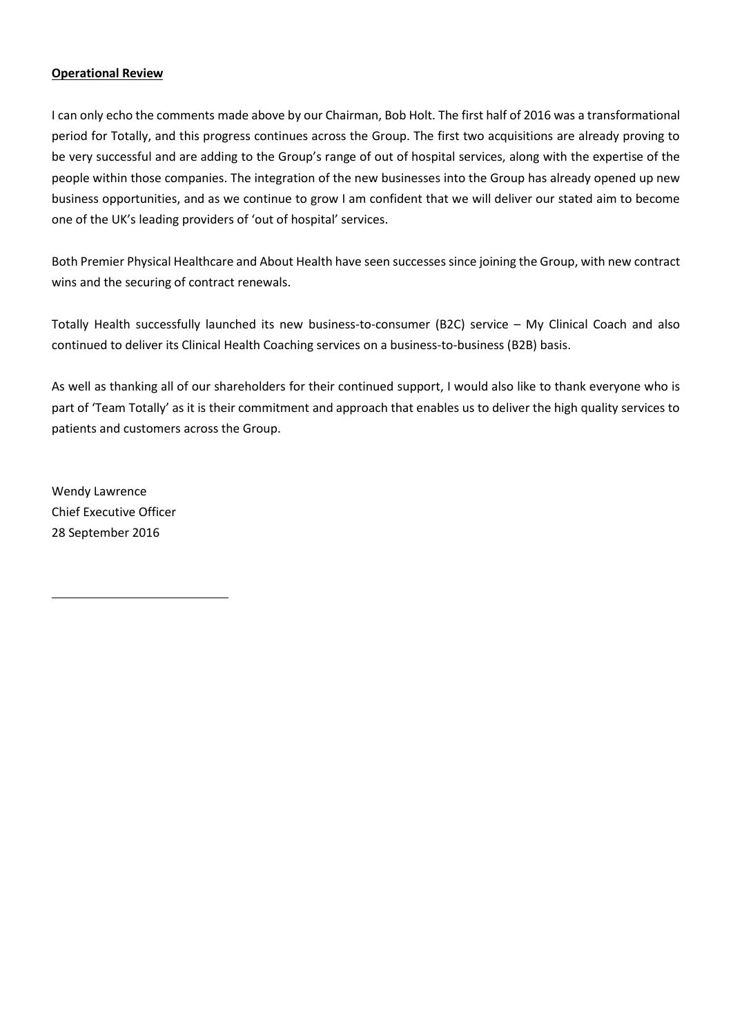# **Operational Review**

I can only echo the comments made above by our Chairman, Bob Holt. The first half of 2016 was a transformational period for Totally, and this progress continues across the Group. The first two acquisitions are already proving to be very successful and are adding to the Group's range of out of hospital services, along with the expertise of the people within those companies. The integration of the new businesses into the Group has already opened up new business opportunities, and as we continue to grow I am confident that we will deliver our stated aim to become one of the UK's leading providers of 'out of hospital' services.

Both Premier Physical Healthcare and About Health have seen successes since joining the Group, with new contract wins and the securing of contract renewals.

Totally Health successfully launched its new business-to-consumer (B2C) service – My Clinical Coach and also continued to deliver its Clinical Health Coaching services on a business-to-business (B2B) basis.

As well as thanking all of our shareholders for their continued support, I would also like to thank everyone who is part of 'Team Totally' as it is their commitment and approach that enables us to deliver the high quality services to patients and customers across the Group.

Wendy Lawrence Chief Executive Officer 28 September 2016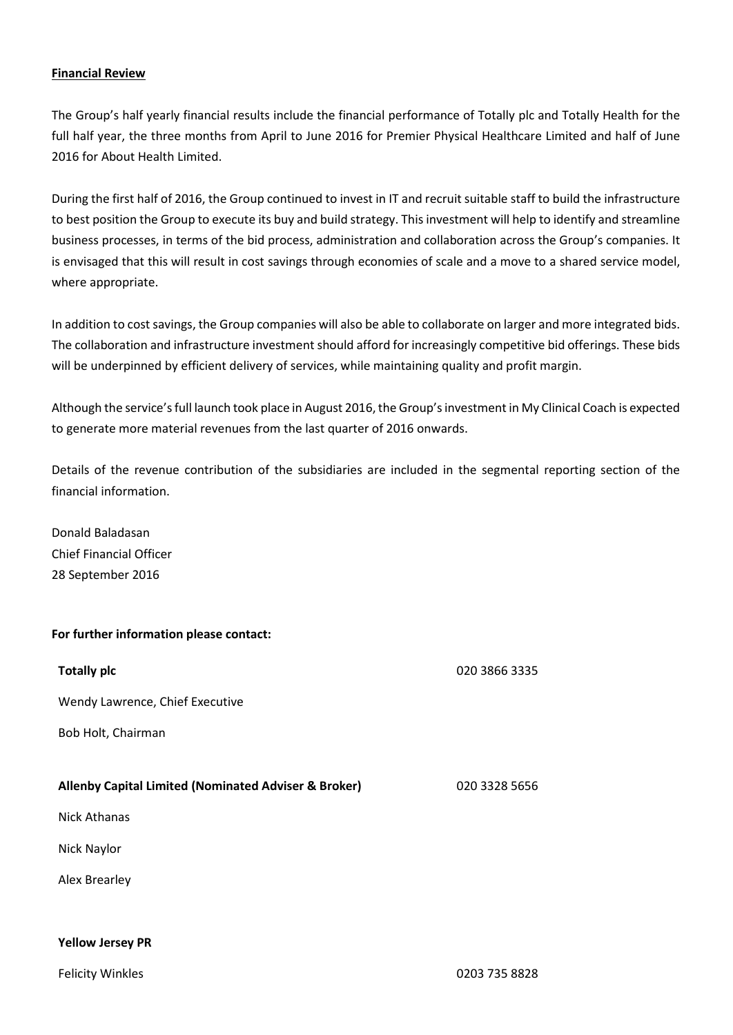### **Financial Review**

The Group's half yearly financial results include the financial performance of Totally plc and Totally Health for the full half year, the three months from April to June 2016 for Premier Physical Healthcare Limited and half of June 2016 for About Health Limited.

During the first half of 2016, the Group continued to invest in IT and recruit suitable staff to build the infrastructure to best position the Group to execute its buy and build strategy. This investment will help to identify and streamline business processes, in terms of the bid process, administration and collaboration across the Group's companies. It is envisaged that this will result in cost savings through economies of scale and a move to a shared service model, where appropriate.

In addition to cost savings, the Group companies will also be able to collaborate on larger and more integrated bids. The collaboration and infrastructure investment should afford for increasingly competitive bid offerings. These bids will be underpinned by efficient delivery of services, while maintaining quality and profit margin.

Although the service's full launch took place in August 2016, the Group's investment in My Clinical Coach is expected to generate more material revenues from the last quarter of 2016 onwards.

Details of the revenue contribution of the subsidiaries are included in the segmental reporting section of the financial information.

Donald Baladasan Chief Financial Officer 28 September 2016

### **For further information please contact:**

| <b>Totally plc</b>                                              | 020 3866 3335 |
|-----------------------------------------------------------------|---------------|
| Wendy Lawrence, Chief Executive                                 |               |
| Bob Holt, Chairman                                              |               |
|                                                                 |               |
| <b>Allenby Capital Limited (Nominated Adviser &amp; Broker)</b> | 020 3328 5656 |
| <b>Nick Athanas</b>                                             |               |
| Nick Naylor                                                     |               |
| Alex Brearley                                                   |               |
|                                                                 |               |
| <b>Yellow Jersey PR</b>                                         |               |

Felicity Winkles 0203 735 8828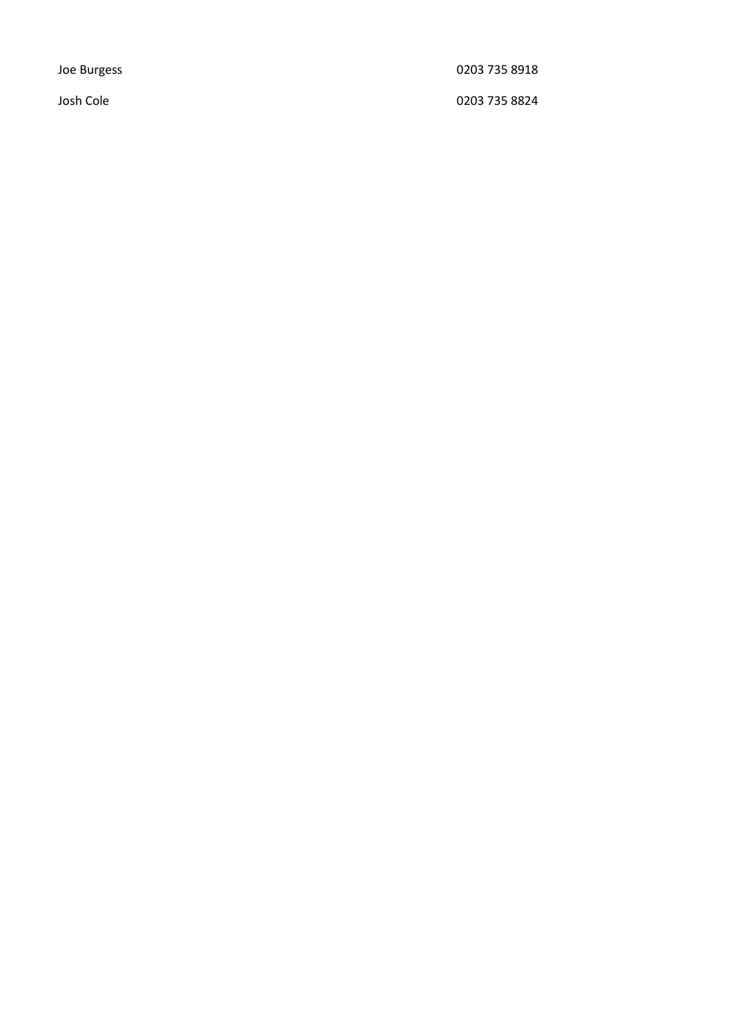Joe Burgess 0203 735 8918

Josh Cole 0203 735 8824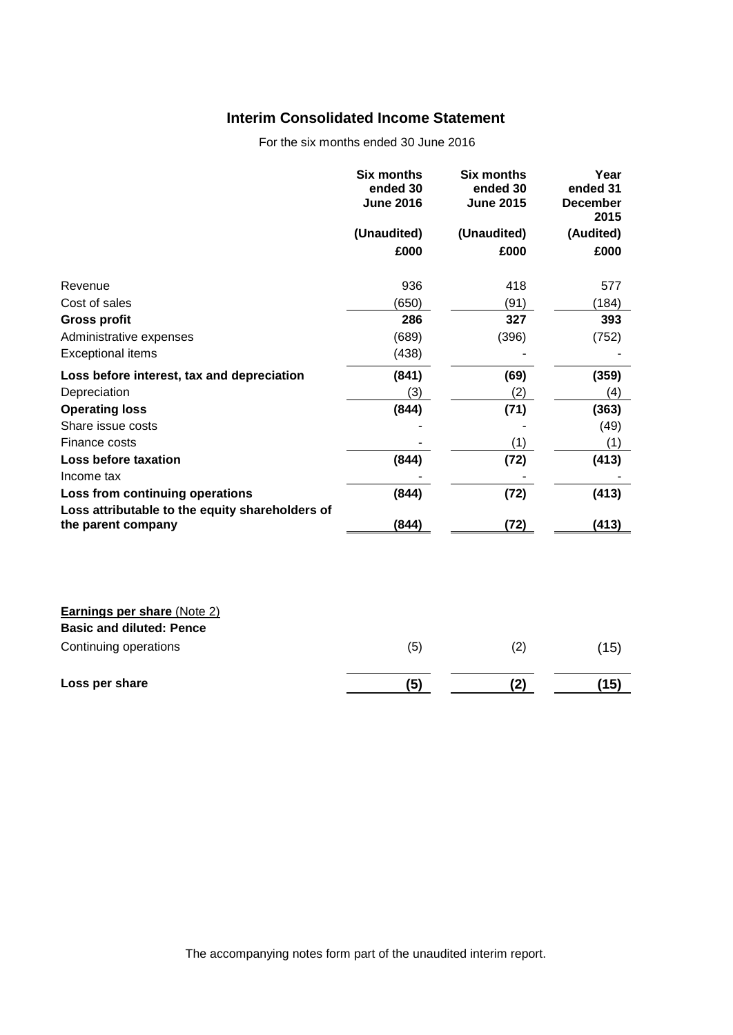# **Interim Consolidated Income Statement**

For the six months ended 30 June 2016

|                                                                                    | <b>Six months</b><br>ended 30<br><b>June 2016</b> | <b>Six months</b><br>ended 30<br><b>June 2015</b> | Year<br>ended 31<br><b>December</b><br>2015 |
|------------------------------------------------------------------------------------|---------------------------------------------------|---------------------------------------------------|---------------------------------------------|
|                                                                                    | (Unaudited)                                       | (Unaudited)                                       | (Audited)                                   |
|                                                                                    | £000                                              | £000                                              | £000                                        |
| Revenue                                                                            | 936                                               | 418                                               | 577                                         |
| Cost of sales                                                                      | (650)                                             | (91)                                              | (184)                                       |
| <b>Gross profit</b>                                                                | 286                                               | 327                                               | 393                                         |
| Administrative expenses                                                            | (689)                                             | (396)                                             | (752)                                       |
| <b>Exceptional items</b>                                                           | (438)                                             |                                                   |                                             |
| Loss before interest, tax and depreciation                                         | (841)                                             | (69)                                              | (359)                                       |
| Depreciation                                                                       | (3)                                               | (2)                                               | (4)                                         |
| <b>Operating loss</b>                                                              | (844)                                             | (71)                                              | (363)                                       |
| Share issue costs                                                                  |                                                   |                                                   | (49)                                        |
| Finance costs                                                                      |                                                   | (1)                                               | (1)                                         |
| Loss before taxation                                                               | (844)                                             | (72)                                              | (413)                                       |
| Income tax                                                                         |                                                   |                                                   |                                             |
| Loss from continuing operations<br>Loss attributable to the equity shareholders of | (844)                                             | (72)                                              | (413)                                       |
| the parent company                                                                 | (844)                                             | (72)                                              | (413)                                       |
|                                                                                    |                                                   |                                                   |                                             |
| <b>Earnings per share (Note 2)</b>                                                 |                                                   |                                                   |                                             |
| <b>Basic and diluted: Pence</b>                                                    |                                                   |                                                   |                                             |
| Continuing operations                                                              | (5)                                               | (2)                                               | (15)                                        |
| Loss per share                                                                     | (5)                                               | (2)                                               | (15)                                        |

The accompanying notes form part of the unaudited interim report.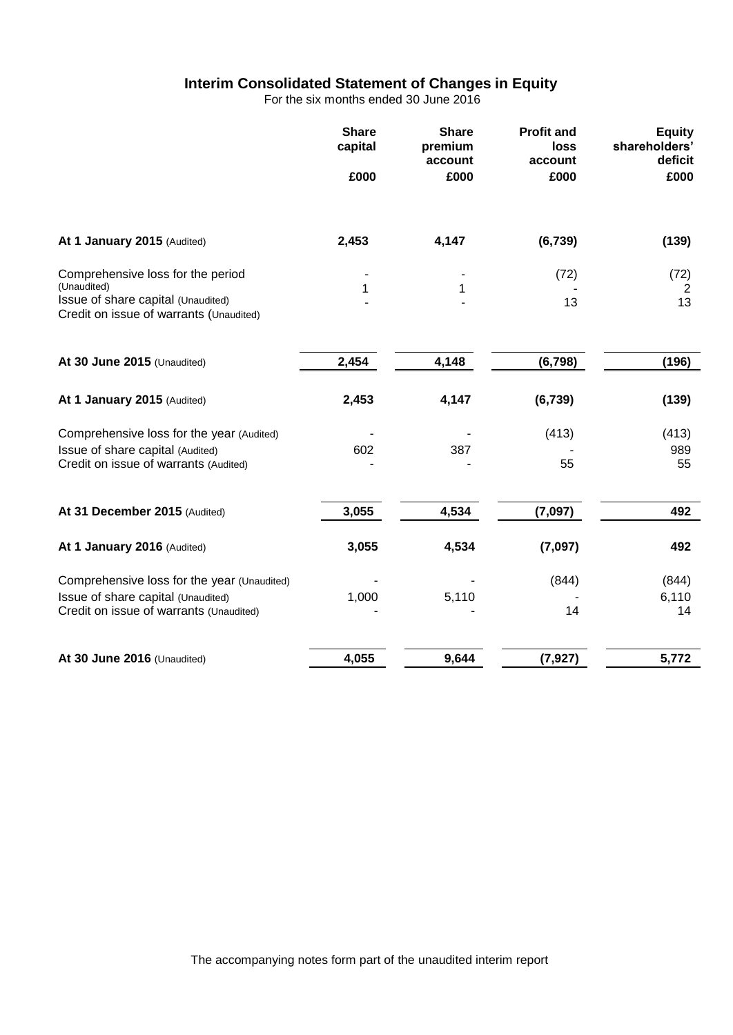# **Interim Consolidated Statement of Changes in Equity**

For the six months ended 30 June 2016

|                                                                               | <b>Share</b><br>capital | <b>Share</b><br>premium<br>account | <b>Profit and</b><br>loss<br>account | <b>Equity</b><br>shareholders'<br>deficit |
|-------------------------------------------------------------------------------|-------------------------|------------------------------------|--------------------------------------|-------------------------------------------|
|                                                                               | £000                    | £000                               | £000                                 | £000                                      |
| At 1 January 2015 (Audited)                                                   | 2,453                   | 4,147                              | (6, 739)                             | (139)                                     |
| Comprehensive loss for the period<br>(Unaudited)                              |                         |                                    | (72)                                 | (72)                                      |
| Issue of share capital (Unaudited)<br>Credit on issue of warrants (Unaudited) | 1                       | 1                                  | 13                                   | 2<br>13                                   |
| At 30 June 2015 (Unaudited)                                                   | 2,454                   | 4,148                              | (6, 798)                             | (196)                                     |
| At 1 January 2015 (Audited)                                                   | 2,453                   | 4,147                              | (6, 739)                             | (139)                                     |
| Comprehensive loss for the year (Audited)                                     |                         |                                    | (413)                                | (413)                                     |
| Issue of share capital (Audited)<br>Credit on issue of warrants (Audited)     | 602                     | 387                                | 55                                   | 989<br>55                                 |
| At 31 December 2015 (Audited)                                                 | 3,055                   | 4,534                              | (7,097)                              | 492                                       |
| At 1 January 2016 (Audited)                                                   | 3,055                   | 4,534                              | (7,097)                              | 492                                       |
| Comprehensive loss for the year (Unaudited)                                   |                         |                                    | (844)                                | (844)                                     |
| Issue of share capital (Unaudited)<br>Credit on issue of warrants (Unaudited) | 1,000                   | 5,110                              | 14                                   | 6,110<br>14                               |
| At 30 June 2016 (Unaudited)                                                   | 4,055                   | 9,644                              | (7, 927)                             | 5,772                                     |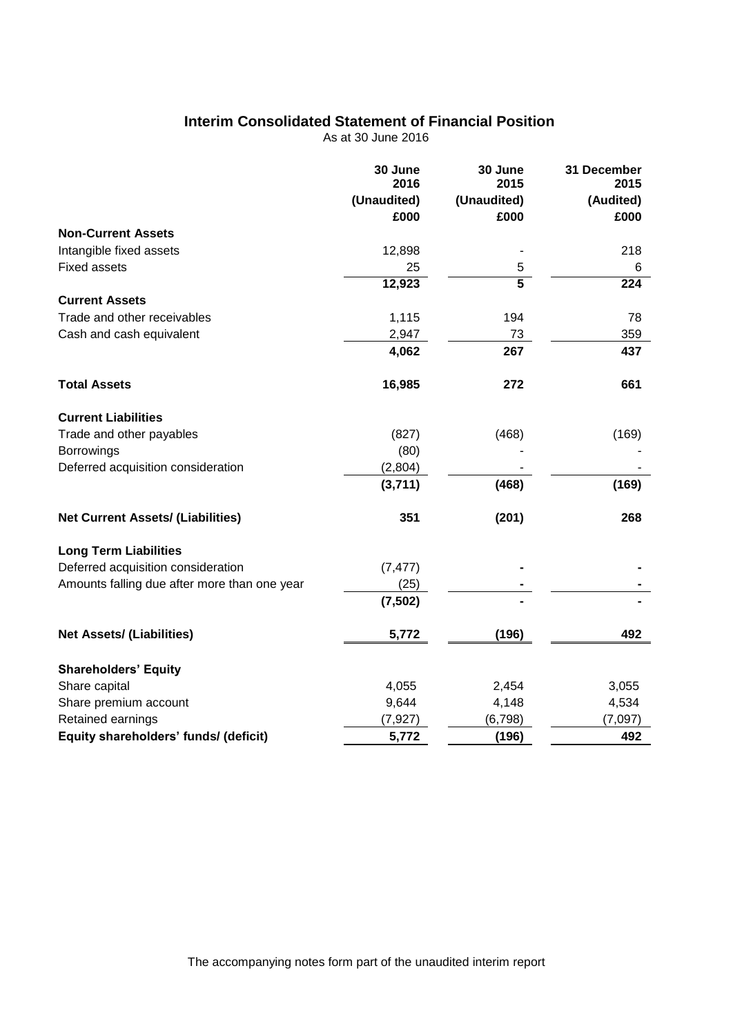# **Interim Consolidated Statement of Financial Position**

As at 30 June 2016

|                                              | 30 June<br>2016 | 30 June<br>2015 | 31 December<br>2015 |
|----------------------------------------------|-----------------|-----------------|---------------------|
|                                              | (Unaudited)     | (Unaudited)     | (Audited)           |
|                                              | £000            | £000            | £000                |
| <b>Non-Current Assets</b>                    |                 |                 |                     |
| Intangible fixed assets                      | 12,898          |                 | 218                 |
| <b>Fixed assets</b>                          | 25              | 5               | 6                   |
|                                              | 12,923          | $\overline{5}$  | 224                 |
| <b>Current Assets</b>                        |                 |                 |                     |
| Trade and other receivables                  | 1,115           | 194             | 78                  |
| Cash and cash equivalent                     | 2,947           | 73              | 359                 |
|                                              | 4,062           | 267             | 437                 |
| <b>Total Assets</b>                          | 16,985          | 272             | 661                 |
| <b>Current Liabilities</b>                   |                 |                 |                     |
| Trade and other payables                     | (827)           | (468)           | (169)               |
| Borrowings                                   | (80)            |                 |                     |
| Deferred acquisition consideration           | (2,804)         |                 |                     |
|                                              | (3,711)         | (468)           | (169)               |
| <b>Net Current Assets/ (Liabilities)</b>     | 351             | (201)           | 268                 |
| <b>Long Term Liabilities</b>                 |                 |                 |                     |
| Deferred acquisition consideration           | (7, 477)        |                 |                     |
| Amounts falling due after more than one year | (25)            |                 |                     |
|                                              | (7, 502)        |                 |                     |
| <b>Net Assets/ (Liabilities)</b>             | 5,772           | (196)           | 492                 |
| <b>Shareholders' Equity</b>                  |                 |                 |                     |
| Share capital                                | 4,055           | 2,454           | 3,055               |
| Share premium account                        | 9,644           | 4,148           | 4,534               |
| Retained earnings                            | (7, 927)        | (6, 798)        | (7,097)             |
| Equity shareholders' funds/ (deficit)        | 5,772           | (196)           | 492                 |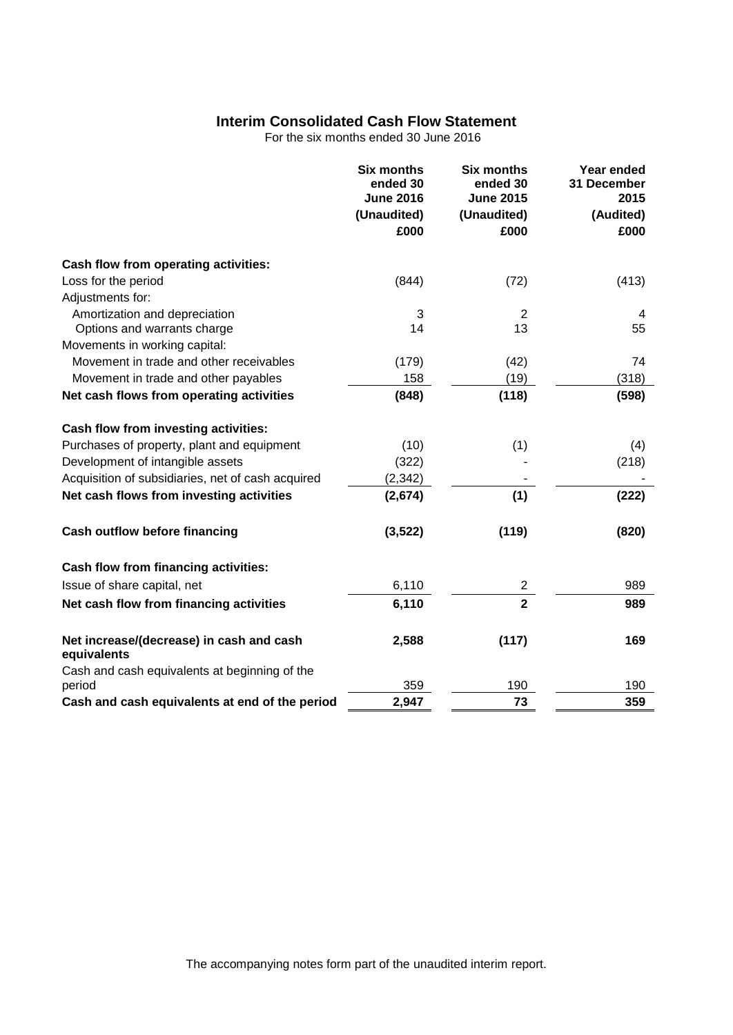# **Interim Consolidated Cash Flow Statement**

For the six months ended 30 June 2016

|                                                         | <b>Six months</b><br>ended 30<br><b>June 2016</b><br>(Unaudited)<br>£000 | <b>Six months</b><br>ended 30<br><b>June 2015</b><br>(Unaudited)<br>£000 | Year ended<br>31 December<br>2015<br>(Audited)<br>£000 |
|---------------------------------------------------------|--------------------------------------------------------------------------|--------------------------------------------------------------------------|--------------------------------------------------------|
| Cash flow from operating activities:                    |                                                                          |                                                                          |                                                        |
| Loss for the period                                     | (844)                                                                    | (72)                                                                     | (413)                                                  |
| Adjustments for:                                        |                                                                          |                                                                          |                                                        |
| Amortization and depreciation                           | 3                                                                        | $\overline{2}$                                                           | 4                                                      |
| Options and warrants charge                             | 14                                                                       | 13                                                                       | 55                                                     |
| Movements in working capital:                           |                                                                          |                                                                          |                                                        |
| Movement in trade and other receivables                 | (179)                                                                    | (42)                                                                     | 74                                                     |
| Movement in trade and other payables                    | 158                                                                      | (19)                                                                     | (318)                                                  |
| Net cash flows from operating activities                | (848)                                                                    | (118)                                                                    | (598)                                                  |
| Cash flow from investing activities:                    |                                                                          |                                                                          |                                                        |
| Purchases of property, plant and equipment              | (10)                                                                     | (1)                                                                      | (4)                                                    |
| Development of intangible assets                        | (322)                                                                    |                                                                          | (218)                                                  |
| Acquisition of subsidiaries, net of cash acquired       | (2, 342)                                                                 |                                                                          |                                                        |
| Net cash flows from investing activities                | (2,674)                                                                  | (1)                                                                      | (222)                                                  |
| <b>Cash outflow before financing</b>                    | (3, 522)                                                                 | (119)                                                                    | (820)                                                  |
| Cash flow from financing activities:                    |                                                                          |                                                                          |                                                        |
| Issue of share capital, net                             | 6,110                                                                    | 2                                                                        | 989                                                    |
| Net cash flow from financing activities                 | 6,110                                                                    | $\overline{\mathbf{2}}$                                                  | 989                                                    |
| Net increase/(decrease) in cash and cash<br>equivalents | 2,588                                                                    | (117)                                                                    | 169                                                    |
| Cash and cash equivalents at beginning of the           |                                                                          |                                                                          |                                                        |
| period                                                  | 359                                                                      | 190                                                                      | 190                                                    |
| Cash and cash equivalents at end of the period          | 2,947                                                                    | 73                                                                       | 359                                                    |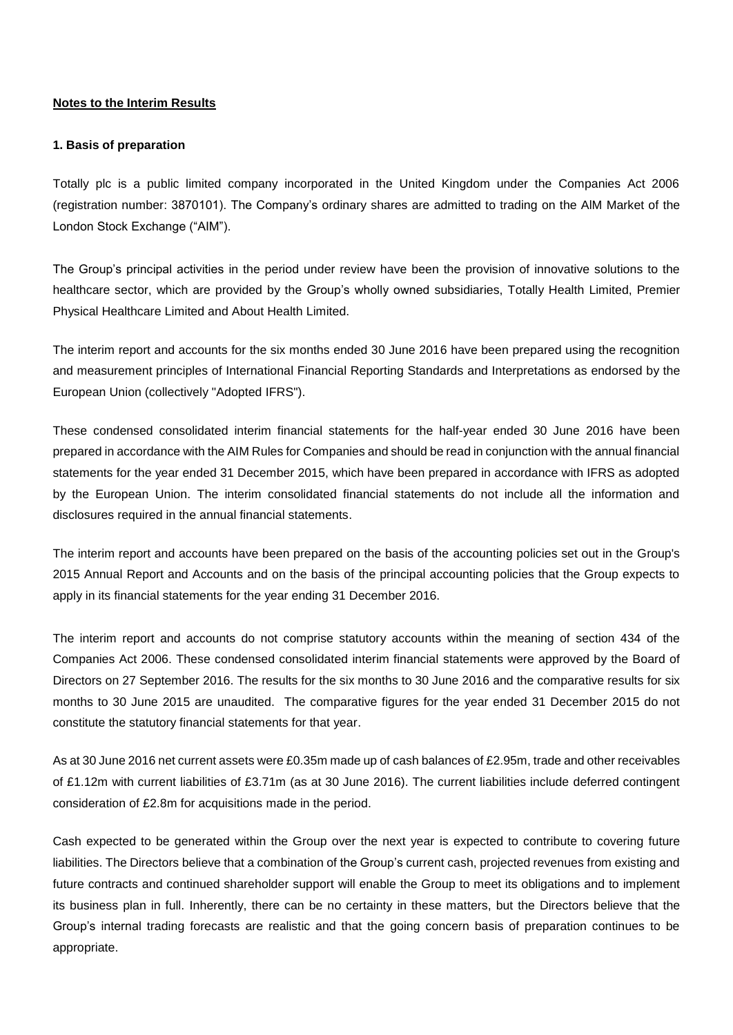#### **Notes to the Interim Results**

#### **1. Basis of preparation**

Totally plc is a public limited company incorporated in the United Kingdom under the Companies Act 2006 (registration number: 3870101). The Company's ordinary shares are admitted to trading on the AlM Market of the London Stock Exchange ("AIM").

The Group's principal activities in the period under review have been the provision of innovative solutions to the healthcare sector, which are provided by the Group's wholly owned subsidiaries, Totally Health Limited, Premier Physical Healthcare Limited and About Health Limited.

The interim report and accounts for the six months ended 30 June 2016 have been prepared using the recognition and measurement principles of International Financial Reporting Standards and Interpretations as endorsed by the European Union (collectively "Adopted IFRS").

These condensed consolidated interim financial statements for the half-year ended 30 June 2016 have been prepared in accordance with the AIM Rules for Companies and should be read in conjunction with the annual financial statements for the year ended 31 December 2015, which have been prepared in accordance with IFRS as adopted by the European Union. The interim consolidated financial statements do not include all the information and disclosures required in the annual financial statements.

The interim report and accounts have been prepared on the basis of the accounting policies set out in the Group's 2015 Annual Report and Accounts and on the basis of the principal accounting policies that the Group expects to apply in its financial statements for the year ending 31 December 2016.

The interim report and accounts do not comprise statutory accounts within the meaning of section 434 of the Companies Act 2006. These condensed consolidated interim financial statements were approved by the Board of Directors on 27 September 2016. The results for the six months to 30 June 2016 and the comparative results for six months to 30 June 2015 are unaudited. The comparative figures for the year ended 31 December 2015 do not constitute the statutory financial statements for that year.

As at 30 June 2016 net current assets were £0.35m made up of cash balances of £2.95m, trade and other receivables of £1.12m with current liabilities of £3.71m (as at 30 June 2016). The current liabilities include deferred contingent consideration of £2.8m for acquisitions made in the period.

Cash expected to be generated within the Group over the next year is expected to contribute to covering future liabilities. The Directors believe that a combination of the Group's current cash, projected revenues from existing and future contracts and continued shareholder support will enable the Group to meet its obligations and to implement its business plan in full. Inherently, there can be no certainty in these matters, but the Directors believe that the Group's internal trading forecasts are realistic and that the going concern basis of preparation continues to be appropriate.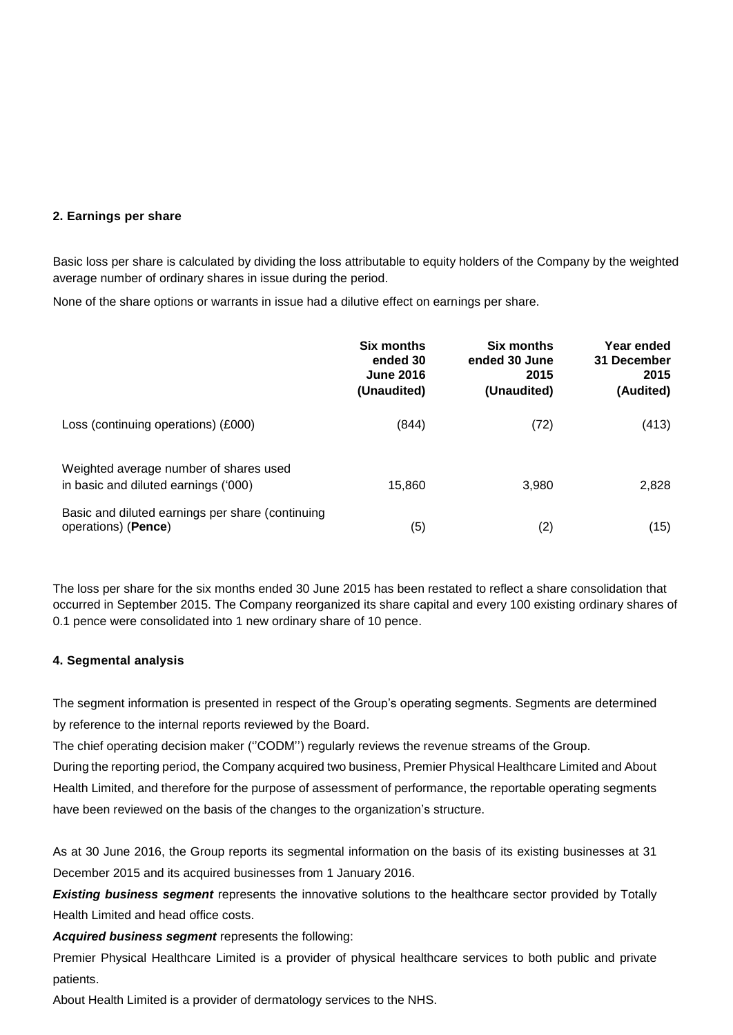### **2. Earnings per share**

Basic loss per share is calculated by dividing the loss attributable to equity holders of the Company by the weighted average number of ordinary shares in issue during the period.

None of the share options or warrants in issue had a dilutive effect on earnings per share.

|                                                                                | Six months<br>ended 30<br><b>June 2016</b><br>(Unaudited) | Six months<br>ended 30 June<br>2015<br>(Unaudited) | Year ended<br>31 December<br>2015<br>(Audited) |
|--------------------------------------------------------------------------------|-----------------------------------------------------------|----------------------------------------------------|------------------------------------------------|
| Loss (continuing operations) (£000)                                            | (844)                                                     | (72)                                               | (413)                                          |
| Weighted average number of shares used<br>in basic and diluted earnings ('000) | 15,860                                                    | 3.980                                              | 2,828                                          |
| Basic and diluted earnings per share (continuing<br>operations) (Pence)        | (5)                                                       | (2)                                                | (15)                                           |

The loss per share for the six months ended 30 June 2015 has been restated to reflect a share consolidation that occurred in September 2015. The Company reorganized its share capital and every 100 existing ordinary shares of 0.1 pence were consolidated into 1 new ordinary share of 10 pence.

### **4. Segmental analysis**

The segment information is presented in respect of the Group's operating segments. Segments are determined by reference to the internal reports reviewed by the Board.

The chief operating decision maker ("CODM") regularly reviews the revenue streams of the Group.

During the reporting period, the Company acquired two business, Premier Physical Healthcare Limited and About Health Limited, and therefore for the purpose of assessment of performance, the reportable operating segments have been reviewed on the basis of the changes to the organization's structure.

As at 30 June 2016, the Group reports its segmental information on the basis of its existing businesses at 31 December 2015 and its acquired businesses from 1 January 2016.

**Existing business segment** represents the innovative solutions to the healthcare sector provided by Totally Health Limited and head office costs.

*Acquired business segment* represents the following:

Premier Physical Healthcare Limited is a provider of physical healthcare services to both public and private patients.

About Health Limited is a provider of dermatology services to the NHS.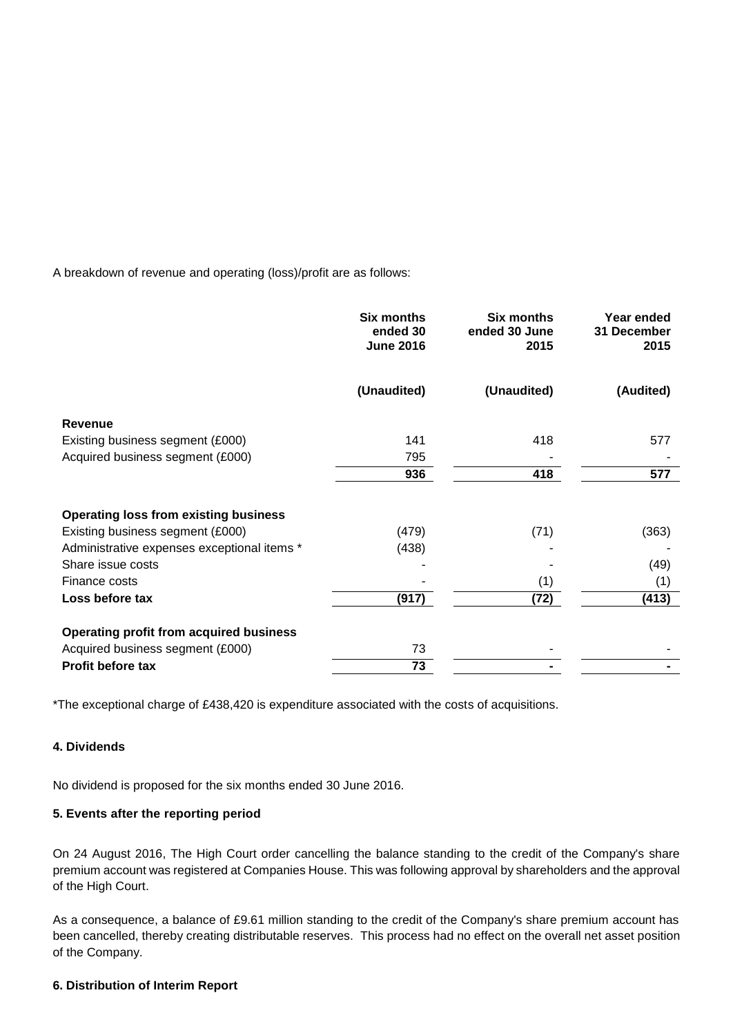A breakdown of revenue and operating (loss)/profit are as follows:

|                                                | <b>Six months</b><br>ended 30<br><b>June 2016</b> | <b>Six months</b><br>ended 30 June<br>2015 | Year ended<br>31 December<br>2015 |
|------------------------------------------------|---------------------------------------------------|--------------------------------------------|-----------------------------------|
|                                                | (Unaudited)                                       | (Unaudited)                                | (Audited)                         |
| Revenue                                        |                                                   |                                            |                                   |
| Existing business segment (£000)               | 141                                               | 418                                        | 577                               |
| Acquired business segment (£000)               | 795                                               |                                            |                                   |
|                                                | 936                                               | 418                                        | 577                               |
| <b>Operating loss from existing business</b>   |                                                   |                                            |                                   |
| Existing business segment (£000)               | (479)                                             | (71)                                       | (363)                             |
| Administrative expenses exceptional items *    | (438)                                             |                                            |                                   |
| Share issue costs                              |                                                   |                                            | (49)                              |
| Finance costs                                  |                                                   | (1)                                        | (1)                               |
| Loss before tax                                | (917)                                             | (72)                                       | (413)                             |
| <b>Operating profit from acquired business</b> |                                                   |                                            |                                   |
| Acquired business segment (£000)               | 73                                                |                                            |                                   |
| <b>Profit before tax</b>                       | 73                                                |                                            |                                   |

\*The exceptional charge of £438,420 is expenditure associated with the costs of acquisitions.

# **4. Dividends**

No dividend is proposed for the six months ended 30 June 2016.

### **5. Events after the reporting period**

On 24 August 2016, The High Court order cancelling the balance standing to the credit of the Company's share premium account was registered at Companies House. This was following approval by shareholders and the approval of the High Court.

As a consequence, a balance of £9.61 million standing to the credit of the Company's share premium account has been cancelled, thereby creating distributable reserves. This process had no effect on the overall net asset position of the Company.

### **6. Distribution of Interim Report**